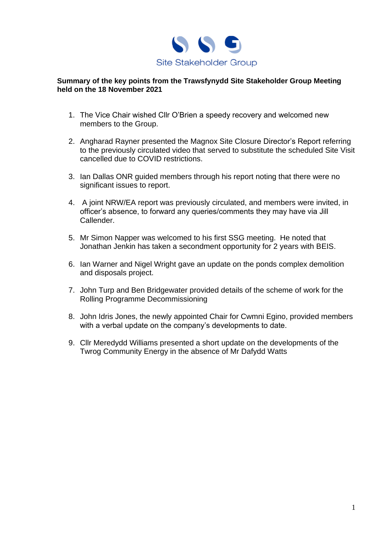

#### **Summary of the key points from the Trawsfynydd Site Stakeholder Group Meeting held on the 18 November 2021**

- 1. The Vice Chair wished Cllr O'Brien a speedy recovery and welcomed new members to the Group.
- 2. Angharad Rayner presented the Magnox Site Closure Director's Report referring to the previously circulated video that served to substitute the scheduled Site Visit cancelled due to COVID restrictions.
- 3. Ian Dallas ONR guided members through his report noting that there were no significant issues to report.
- 4. A joint NRW/EA report was previously circulated, and members were invited, in officer's absence, to forward any queries/comments they may have via Jill Callender.
- 5. Mr Simon Napper was welcomed to his first SSG meeting. He noted that Jonathan Jenkin has taken a secondment opportunity for 2 years with BEIS.
- 6. Ian Warner and Nigel Wright gave an update on the ponds complex demolition and disposals project.
- 7. John Turp and Ben Bridgewater provided details of the scheme of work for the Rolling Programme Decommissioning
- 8. John Idris Jones, the newly appointed Chair for Cwmni Egino, provided members with a verbal update on the company's developments to date.
- 9. Cllr Meredydd Williams presented a short update on the developments of the Twrog Community Energy in the absence of Mr Dafydd Watts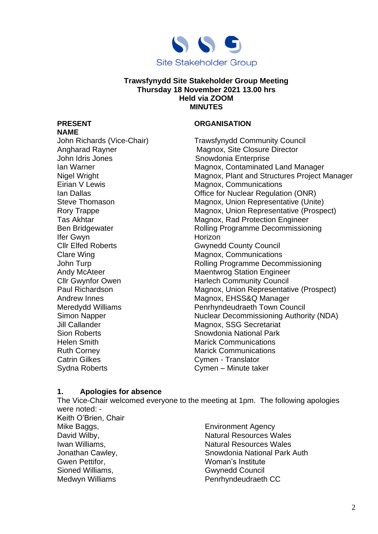

#### **Trawsfynydd Site Stakeholder Group Meeting Thursday 18 November 2021 13.00 hrs Held via ZOOM MINUTES**

# **NAME**

John Idris Jones **Snowdonia Enterprise** Ifer Gwyn Horizon Helen Smith Marick Communications Ruth Corney **Marick Communications** Catrin Gilkes Cymen - Translator

## **PRESENT ORGANISATION**

John Richards (Vice-Chair) Trawsfynydd Community Council Angharad Rayner Magnox, Site Closure Director Ian Warner **Magnox, Contaminated Land Manager** Magnox, Contaminated Land Manager Nigel Wright Magnox, Plant and Structures Project Manager Eirian V Lewis **Eirian V Lewis Magnox, Communications** Ian Dallas Office for Nuclear Regulation (ONR) Steve Thomason Magnox, Union Representative (Unite) Rory Trappe **Magnox**, Union Representative (Prospect) Tas Akhtar **Magnox, Rad Protection Engineer** Ben Bridgewater **Rolling Programme Decommissioning** Gwynedd County Council Clare Wing **Clare Wing Clare Wing Clare Wing Clare Wing Clare Wing Clare Wing Clare Wing Clare Wing Clare Wing C** John Turp **No. 2018** Turp Rolling Programme Decommissioning Andy McAteer Maentwrog Station Engineer Cllr Gwynfor Owen Harlech Community Council Paul Richardson Magnox, Union Representative (Prospect) Andrew Innes **Magnox, EHSS&Q Manager** Magnox, EHSS&Q Manager Meredydd Williams Penrhyndeudraeth Town Council Simon Napper Nuclear Decommissioning Authority (NDA) Jill Callander Magnox, SSG Secretariat Sion Roberts Snowdonia National Park Sydna Roberts **Cymen** – Minute taker

## **1. Apologies for absence**

The Vice-Chair welcomed everyone to the meeting at 1pm. The following apologies were noted: - Keith O'Brien, Chair Mike Baggs, The Community School and The Environment Agency David Wilby, Natural Resources Wales Iwan Williams, Natural Resources Wales Jonathan Cawley, Snowdonia National Park Auth Gwen Pettifor, The Communist Communist Units Communist Communist Communist Communist Communist Communist Communist Communist Communist Communist Communist Communist Communist Communist Communist Communist Communist Communi Sioned Williams, Gwynedd Council Medwyn Williams **Penrhyndeudraeth CC**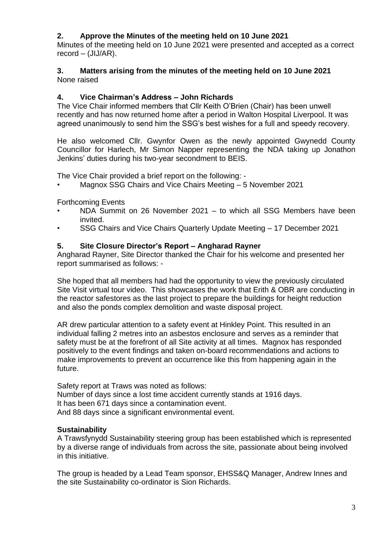## **2. Approve the Minutes of the meeting held on 10 June 2021**

Minutes of the meeting held on 10 June 2021 were presented and accepted as a correct  $record - (JIJ/AR)$ .

#### **3. Matters arising from the minutes of the meeting held on 10 June 2021** None raised

## **4. Vice Chairman's Address – John Richards**

The Vice Chair informed members that Cllr Keith O'Brien (Chair) has been unwell recently and has now returned home after a period in Walton Hospital Liverpool. It was agreed unanimously to send him the SSG's best wishes for a full and speedy recovery.

He also welcomed Cllr. Gwynfor Owen as the newly appointed Gwynedd County Councillor for Harlech, Mr Simon Napper representing the NDA taking up Jonathon Jenkins' duties during his two-year secondment to BEIS.

The Vice Chair provided a brief report on the following: -

• Magnox SSG Chairs and Vice Chairs Meeting – 5 November 2021

Forthcoming Events

- NDA Summit on 26 November 2021 to which all SSG Members have been invited.
- SSG Chairs and Vice Chairs Quarterly Update Meeting 17 December 2021

### **5. Site Closure Director's Report – Angharad Rayner**

Angharad Rayner, Site Director thanked the Chair for his welcome and presented her report summarised as follows: -

She hoped that all members had had the opportunity to view the previously circulated Site Visit virtual tour video. This showcases the work that Erith & OBR are conducting in the reactor safestores as the last project to prepare the buildings for height reduction and also the ponds complex demolition and waste disposal project.

AR drew particular attention to a safety event at Hinkley Point. This resulted in an individual falling 2 metres into an asbestos enclosure and serves as a reminder that safety must be at the forefront of all Site activity at all times. Magnox has responded positively to the event findings and taken on-board recommendations and actions to make improvements to prevent an occurrence like this from happening again in the future.

Safety report at Traws was noted as follows: Number of days since a lost time accident currently stands at 1916 days. It has been 671 days since a contamination event. And 88 days since a significant environmental event.

## **Sustainability**

A Trawsfynydd Sustainability steering group has been established which is represented by a diverse range of individuals from across the site, passionate about being involved in this initiative.

The group is headed by a Lead Team sponsor, EHSS&Q Manager, Andrew Innes and the site Sustainability co-ordinator is Sion Richards.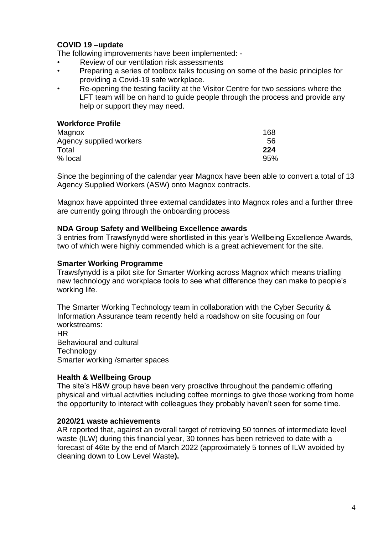## **COVID 19 –update**

The following improvements have been implemented: -

- Review of our ventilation risk assessments
- Preparing a series of toolbox talks focusing on some of the basic principles for providing a Covid-19 safe workplace.
- Re-opening the testing facility at the Visitor Centre for two sessions where the LFT team will be on hand to guide people through the process and provide any help or support they may need.

#### **Workforce Profile**

| Magnox                  | 168 |
|-------------------------|-----|
| Agency supplied workers | 56  |
| Total                   | 224 |
| % local                 | 95% |

Since the beginning of the calendar year Magnox have been able to convert a total of 13 Agency Supplied Workers (ASW) onto Magnox contracts.

Magnox have appointed three external candidates into Magnox roles and a further three are currently going through the onboarding process

#### **NDA Group Safety and Wellbeing Excellence awards**

3 entries from Trawsfynydd were shortlisted in this year's Wellbeing Excellence Awards, two of which were highly commended which is a great achievement for the site.

#### **Smarter Working Programme**

Trawsfynydd is a pilot site for Smarter Working across Magnox which means trialling new technology and workplace tools to see what difference they can make to people's working life.

The Smarter Working Technology team in collaboration with the Cyber Security & Information Assurance team recently held a roadshow on site focusing on four workstreams:

HR Behavioural and cultural **Technology** Smarter working /smarter spaces

#### **Health & Wellbeing Group**

The site's H&W group have been very proactive throughout the pandemic offering physical and virtual activities including coffee mornings to give those working from home the opportunity to interact with colleagues they probably haven't seen for some time.

#### **2020/21 waste achievements**

AR reported that, against an overall target of retrieving 50 tonnes of intermediate level waste (ILW) during this financial year, 30 tonnes has been retrieved to date with a forecast of 46te by the end of March 2022 (approximately 5 tonnes of ILW avoided by cleaning down to Low Level Waste**).**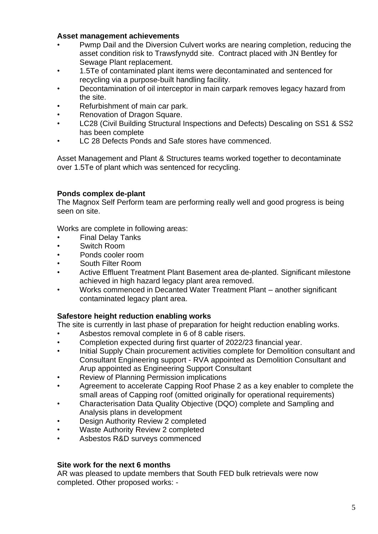#### **Asset management achievements**

- Pwmp Dail and the Diversion Culvert works are nearing completion, reducing the asset condition risk to Trawsfynydd site. Contract placed with JN Bentley for Sewage Plant replacement.
- 1.5Te of contaminated plant items were decontaminated and sentenced for recycling via a purpose-built handling facility.
- Decontamination of oil interceptor in main carpark removes legacy hazard from the site.
- Refurbishment of main car park.
- Renovation of Dragon Square.
- LC28 (Civil Building Structural Inspections and Defects) Descaling on SS1 & SS2 has been complete
- LC 28 Defects Ponds and Safe stores have commenced.

Asset Management and Plant & Structures teams worked together to decontaminate over 1.5Te of plant which was sentenced for recycling.

#### **Ponds complex de-plant**

The Magnox Self Perform team are performing really well and good progress is being seen on site.

Works are complete in following areas:

- **Final Delay Tanks**
- Switch Room
- Ponds cooler room
- South Filter Room
- Active Effluent Treatment Plant Basement area de-planted. Significant milestone achieved in high hazard legacy plant area removed.
- Works commenced in Decanted Water Treatment Plant another significant contaminated legacy plant area.

#### **Safestore height reduction enabling works**

The site is currently in last phase of preparation for height reduction enabling works.

- Asbestos removal complete in 6 of 8 cable risers.
- Completion expected during first quarter of 2022/23 financial year.
- Initial Supply Chain procurement activities complete for Demolition consultant and Consultant Engineering support - RVA appointed as Demolition Consultant and Arup appointed as Engineering Support Consultant
- Review of Planning Permission implications
- Agreement to accelerate Capping Roof Phase 2 as a key enabler to complete the small areas of Capping roof (omitted originally for operational requirements)
- Characterisation Data Quality Objective (DQO) complete and Sampling and Analysis plans in development
- Design Authority Review 2 completed
- Waste Authority Review 2 completed
- Asbestos R&D surveys commenced

#### **Site work for the next 6 months**

AR was pleased to update members that South FED bulk retrievals were now completed. Other proposed works: -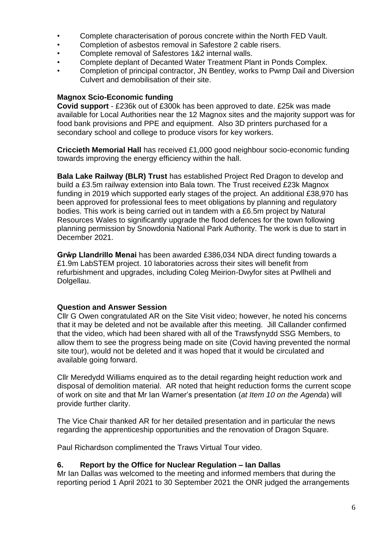- Complete characterisation of porous concrete within the North FED Vault.
- Completion of asbestos removal in Safestore 2 cable risers.
- Complete removal of Safestores 1&2 internal walls.
- Complete deplant of Decanted Water Treatment Plant in Ponds Complex.
- Completion of principal contractor, JN Bentley, works to Pwmp Dail and Diversion Culvert and demobilisation of their site.

## **Magnox Scio-Economic funding**

**Covid support** - £236k out of £300k has been approved to date. £25k was made available for Local Authorities near the 12 Magnox sites and the majority support was for food bank provisions and PPE and equipment. Also 3D printers purchased for a secondary school and college to produce visors for key workers.

**Criccieth Memorial Hall** has received £1,000 good neighbour socio-economic funding towards improving the energy efficiency within the hall.

**Bala Lake Railway (BLR) Trust** has established Project Red Dragon to develop and build a £3.5m railway extension into Bala town. The Trust received £23k Magnox funding in 2019 which supported early stages of the project. An additional £38,970 has been approved for professional fees to meet obligations by planning and regulatory bodies. This work is being carried out in tandem with a £6.5m project by Natural Resources Wales to significantly upgrade the flood defences for the town following planning permission by Snowdonia National Park Authority. The work is due to start in December 2021.

**Grŵp Llandrillo Menai** has been awarded £386,034 NDA direct funding towards a £1.9m LabSTEM project. 10 laboratories across their sites will benefit from refurbishment and upgrades, including Coleg Meirion-Dwyfor sites at Pwllheli and Dolgellau.

#### **Question and Answer Session**

Cllr G Owen congratulated AR on the Site Visit video; however, he noted his concerns that it may be deleted and not be available after this meeting. Jill Callander confirmed that the video, which had been shared with all of the Trawsfynydd SSG Members, to allow them to see the progress being made on site (Covid having prevented the normal site tour), would not be deleted and it was hoped that it would be circulated and available going forward.

Cllr Meredydd Williams enquired as to the detail regarding height reduction work and disposal of demolition material. AR noted that height reduction forms the current scope of work on site and that Mr Ian Warner's presentation (*at Item 10 on the Agenda*) will provide further clarity.

The Vice Chair thanked AR for her detailed presentation and in particular the news regarding the apprenticeship opportunities and the renovation of Dragon Square.

Paul Richardson complimented the Traws Virtual Tour video.

#### **6. Report by the Office for Nuclear Regulation – Ian Dallas**

Mr Ian Dallas was welcomed to the meeting and informed members that during the reporting period 1 April 2021 to 30 September 2021 the ONR judged the arrangements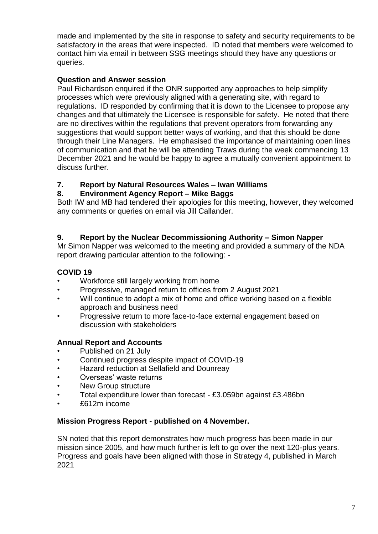made and implemented by the site in response to safety and security requirements to be satisfactory in the areas that were inspected. ID noted that members were welcomed to contact him via email in between SSG meetings should they have any questions or queries.

## **Question and Answer session**

Paul Richardson enquired if the ONR supported any approaches to help simplify processes which were previously aligned with a generating site, with regard to regulations. ID responded by confirming that it is down to the Licensee to propose any changes and that ultimately the Licensee is responsible for safety. He noted that there are no directives within the regulations that prevent operators from forwarding any suggestions that would support better ways of working, and that this should be done through their Line Managers. He emphasised the importance of maintaining open lines of communication and that he will be attending Traws during the week commencing 13 December 2021 and he would be happy to agree a mutually convenient appointment to discuss further.

## **7. Report by Natural Resources Wales – Iwan Williams**

## **8. Environment Agency Report – Mike Baggs**

Both IW and MB had tendered their apologies for this meeting, however, they welcomed any comments or queries on email via Jill Callander.

## **9. Report by the Nuclear Decommissioning Authority – Simon Napper**

Mr Simon Napper was welcomed to the meeting and provided a summary of the NDA report drawing particular attention to the following: -

## **COVID 19**

- Workforce still largely working from home
- Progressive, managed return to offices from 2 August 2021
- Will continue to adopt a mix of home and office working based on a flexible approach and business need
- Progressive return to more face-to-face external engagement based on discussion with stakeholders

## **Annual Report and Accounts**

- Published on 21 July
- Continued progress despite impact of COVID-19
- Hazard reduction at Sellafield and Dounreay
- Overseas' waste returns
- New Group structure
- Total expenditure lower than forecast £3.059bn against £3.486bn
- £612m income

#### **Mission Progress Report - published on 4 November.**

SN noted that this report demonstrates how much progress has been made in our mission since 2005, and how much further is left to go over the next 120-plus years. Progress and goals have been aligned with those in Strategy 4, published in March 2021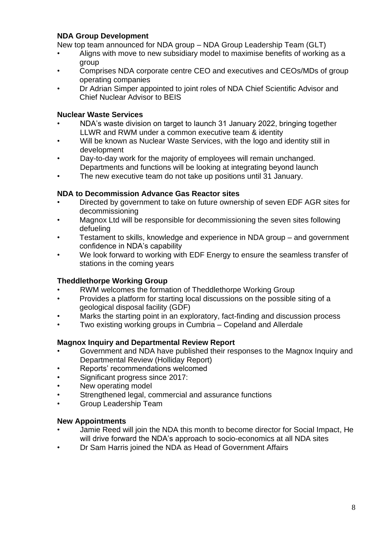## **NDA Group Development**

New top team announced for NDA group – NDA Group Leadership Team (GLT)

- Aligns with move to new subsidiary model to maximise benefits of working as a group
- Comprises NDA corporate centre CEO and executives and CEOs/MDs of group operating companies
- Dr Adrian Simper appointed to joint roles of NDA Chief Scientific Advisor and Chief Nuclear Advisor to BEIS

## **Nuclear Waste Services**

- NDA's waste division on target to launch 31 January 2022, bringing together LLWR and RWM under a common executive team & identity
- Will be known as Nuclear Waste Services, with the logo and identity still in development
- Day-to-day work for the majority of employees will remain unchanged. Departments and functions will be looking at integrating beyond launch
- The new executive team do not take up positions until 31 January.

### **NDA to Decommission Advance Gas Reactor sites**

- Directed by government to take on future ownership of seven EDF AGR sites for decommissioning
- Magnox Ltd will be responsible for decommissioning the seven sites following defueling
- Testament to skills, knowledge and experience in NDA group and government confidence in NDA's capability
- We look forward to working with EDF Energy to ensure the seamless transfer of stations in the coming years

## **Theddlethorpe Working Group**

- RWM welcomes the formation of Theddlethorpe Working Group
- Provides a platform for starting local discussions on the possible siting of a geological disposal facility (GDF)
- Marks the starting point in an exploratory, fact-finding and discussion process
- Two existing working groups in Cumbria Copeland and Allerdale

## **Magnox Inquiry and Departmental Review Report**

- Government and NDA have published their responses to the Magnox Inquiry and Departmental Review (Holliday Report)
- Reports' recommendations welcomed
- Significant progress since 2017:
- New operating model
- Strengthened legal, commercial and assurance functions
- Group Leadership Team

#### **New Appointments**

- Jamie Reed will join the NDA this month to become director for Social Impact, He will drive forward the NDA's approach to socio-economics at all NDA sites
- Dr Sam Harris joined the NDA as Head of Government Affairs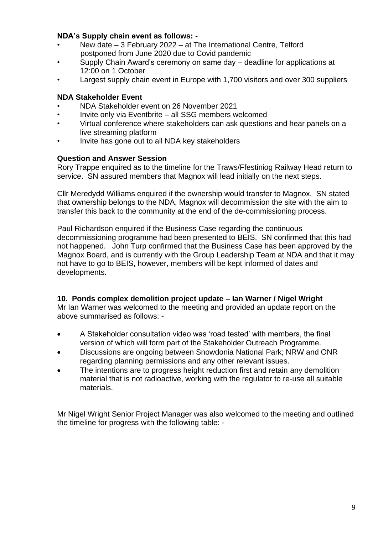## **NDA's Supply chain event as follows: -**

- New date 3 February 2022 at The International Centre, Telford postponed from June 2020 due to Covid pandemic
- Supply Chain Award's ceremony on same day deadline for applications at 12:00 on 1 October
- Largest supply chain event in Europe with 1,700 visitors and over 300 suppliers

### **NDA Stakeholder Event**

- NDA Stakeholder event on 26 November 2021
- Invite only via Eventbrite all SSG members welcomed
- Virtual conference where stakeholders can ask questions and hear panels on a live streaming platform
- Invite has gone out to all NDA key stakeholders

#### **Question and Answer Session**

Rory Trappe enquired as to the timeline for the Traws/Ffestiniog Railway Head return to service. SN assured members that Magnox will lead initially on the next steps.

Cllr Meredydd Williams enquired if the ownership would transfer to Magnox. SN stated that ownership belongs to the NDA, Magnox will decommission the site with the aim to transfer this back to the community at the end of the de-commissioning process.

Paul Richardson enquired if the Business Case regarding the continuous decommissioning programme had been presented to BEIS. SN confirmed that this had not happened. John Turp confirmed that the Business Case has been approved by the Magnox Board, and is currently with the Group Leadership Team at NDA and that it may not have to go to BEIS, however, members will be kept informed of dates and developments.

#### **10. Ponds complex demolition project update – Ian Warner / Nigel Wright**

Mr Ian Warner was welcomed to the meeting and provided an update report on the above summarised as follows: -

- A Stakeholder consultation video was 'road tested' with members, the final version of which will form part of the Stakeholder Outreach Programme.
- Discussions are ongoing between Snowdonia National Park; NRW and ONR regarding planning permissions and any other relevant issues.
- The intentions are to progress height reduction first and retain any demolition material that is not radioactive, working with the regulator to re-use all suitable materials.

Mr Nigel Wright Senior Project Manager was also welcomed to the meeting and outlined the timeline for progress with the following table: -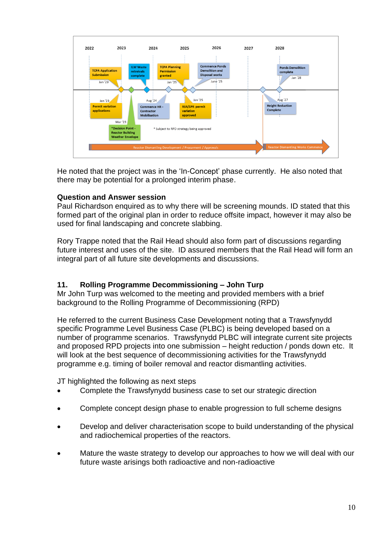

He noted that the project was in the 'In-Concept' phase currently. He also noted that there may be potential for a prolonged interim phase.

## **Question and Answer session**

Paul Richardson enquired as to why there will be screening mounds. ID stated that this formed part of the original plan in order to reduce offsite impact, however it may also be used for final landscaping and concrete slabbing.

Rory Trappe noted that the Rail Head should also form part of discussions regarding future interest and uses of the site. ID assured members that the Rail Head will form an integral part of all future site developments and discussions.

## **11. Rolling Programme Decommissioning – John Turp**

Mr John Turp was welcomed to the meeting and provided members with a brief background to the Rolling Programme of Decommissioning (RPD)

He referred to the current Business Case Development noting that a Trawsfynydd specific Programme Level Business Case (PLBC) is being developed based on a number of programme scenarios. Trawsfynydd PLBC will integrate current site projects and proposed RPD projects into one submission – height reduction / ponds down etc. It will look at the best sequence of decommissioning activities for the Trawsfynydd programme e.g. timing of boiler removal and reactor dismantling activities.

JT highlighted the following as next steps

- Complete the Trawsfynydd business case to set our strategic direction
- Complete concept design phase to enable progression to full scheme designs
- Develop and deliver characterisation scope to build understanding of the physical and radiochemical properties of the reactors.
- Mature the waste strategy to develop our approaches to how we will deal with our future waste arisings both radioactive and non-radioactive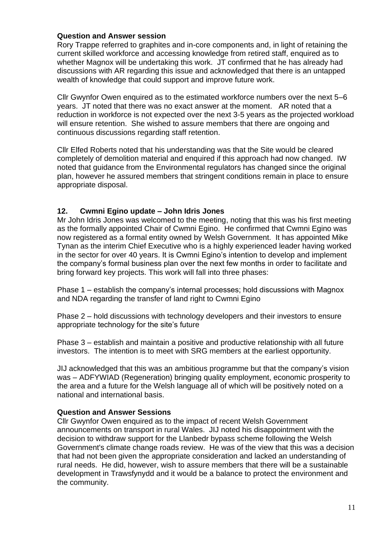### **Question and Answer session**

Rory Trappe referred to graphites and in-core components and, in light of retaining the current skilled workforce and accessing knowledge from retired staff, enquired as to whether Magnox will be undertaking this work. JT confirmed that he has already had discussions with AR regarding this issue and acknowledged that there is an untapped wealth of knowledge that could support and improve future work.

Cllr Gwynfor Owen enquired as to the estimated workforce numbers over the next 5–6 years. JT noted that there was no exact answer at the moment. AR noted that a reduction in workforce is not expected over the next 3-5 years as the projected workload will ensure retention. She wished to assure members that there are ongoing and continuous discussions regarding staff retention.

Cllr Elfed Roberts noted that his understanding was that the Site would be cleared completely of demolition material and enquired if this approach had now changed. IW noted that guidance from the Environmental regulators has changed since the original plan, however he assured members that stringent conditions remain in place to ensure appropriate disposal.

### **12. Cwmni Egino update – John Idris Jones**

Mr John Idris Jones was welcomed to the meeting, noting that this was his first meeting as the formally appointed Chair of Cwmni Egino. He confirmed that Cwmni Egino was now registered as a formal entity owned by Welsh Government. It has appointed Mike Tynan as the interim Chief Executive who is a highly experienced leader having worked in the sector for over 40 years. It is Cwmni Egino's intention to develop and implement the company's formal business plan over the next few months in order to facilitate and bring forward key projects. This work will fall into three phases:

Phase 1 – establish the company's internal processes; hold discussions with Magnox and NDA regarding the transfer of land right to Cwmni Egino

Phase 2 – hold discussions with technology developers and their investors to ensure appropriate technology for the site's future

Phase 3 – establish and maintain a positive and productive relationship with all future investors. The intention is to meet with SRG members at the earliest opportunity.

JIJ acknowledged that this was an ambitious programme but that the company's vision was – ADFYWIAD (Regeneration) bringing quality employment, economic prosperity to the area and a future for the Welsh language all of which will be positively noted on a national and international basis.

#### **Question and Answer Sessions**

Cllr Gwynfor Owen enquired as to the impact of recent Welsh Government announcements on transport in rural Wales. JIJ noted his disappointment with the decision to withdraw support for the Llanbedr bypass scheme following the Welsh Government's climate change roads review. He was of the view that this was a decision that had not been given the appropriate consideration and lacked an understanding of rural needs. He did, however, wish to assure members that there will be a sustainable development in Trawsfynydd and it would be a balance to protect the environment and the community.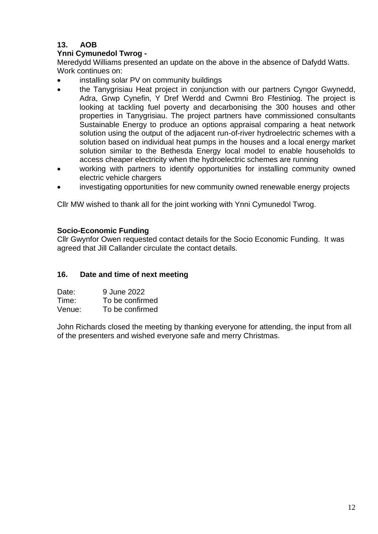## **13. AOB**

## **Ynni Cymunedol Twrog -**

Meredydd Williams presented an update on the above in the absence of Dafydd Watts. Work continues on:

- installing solar PV on community buildings
- the Tanygrisiau Heat project in conjunction with our partners Cyngor Gwynedd, Adra, Grwp Cynefin, Y Dref Werdd and Cwmni Bro Ffestiniog. The project is looking at tackling fuel poverty and decarbonising the 300 houses and other properties in Tanygrisiau. The project partners have commissioned consultants Sustainable Energy to produce an options appraisal comparing a heat network solution using the output of the adjacent run-of-river hydroelectric schemes with a solution based on individual heat pumps in the houses and a local energy market solution similar to the Bethesda Energy local model to enable households to access cheaper electricity when the hydroelectric schemes are running
- working with partners to identify opportunities for installing community owned electric vehicle chargers
- investigating opportunities for new community owned renewable energy projects

Cllr MW wished to thank all for the joint working with Ynni Cymunedol Twrog.

### **Socio-Economic Funding**

Cllr Gwynfor Owen requested contact details for the Socio Economic Funding. It was agreed that Jill Callander circulate the contact details.

#### **16. Date and time of next meeting**

| Date:  | 9 June 2022     |
|--------|-----------------|
| Time:  | To be confirmed |
| Venue: | To be confirmed |

John Richards closed the meeting by thanking everyone for attending, the input from all of the presenters and wished everyone safe and merry Christmas.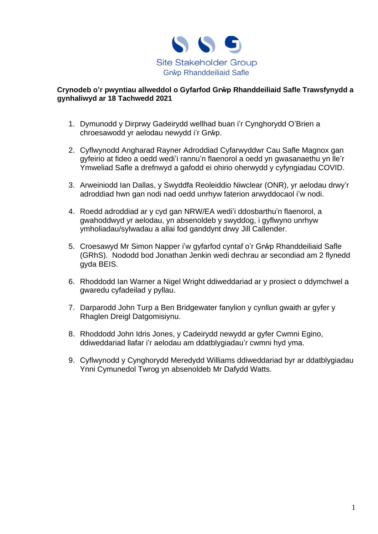

#### **Crynodeb o'r pwyntiau allweddol o Gyfarfod Grŵp Rhanddeiliaid Safle Trawsfynydd a gynhaliwyd ar 18 Tachwedd 2021**

- 1. Dymunodd y Dirprwy Gadeirydd wellhad buan i'r Cynghorydd O'Brien a chroesawodd yr aelodau newydd i'r Grŵp.
- 2. Cyflwynodd Angharad Rayner Adroddiad Cyfarwyddwr Cau Safle Magnox gan gyfeirio at fideo a oedd wedi'i rannu'n flaenorol a oedd yn gwasanaethu yn lle'r Ymweliad Safle a drefnwyd a gafodd ei ohirio oherwydd y cyfyngiadau COVID.
- 3. Arweiniodd Ian Dallas, y Swyddfa Reoleiddio Niwclear (ONR), yr aelodau drwy'r adroddiad hwn gan nodi nad oedd unrhyw faterion arwyddocaol i'w nodi.
- 4. Roedd adroddiad ar y cyd gan NRW/EA wedi'i ddosbarthu'n flaenorol, a gwahoddwyd yr aelodau, yn absenoldeb y swyddog, i gyflwyno unrhyw ymholiadau/sylwadau a allai fod ganddynt drwy Jill Callender.
- 5. Croesawyd Mr Simon Napper i'w gyfarfod cyntaf o'r Grŵp Rhanddeiliaid Safle (GRhS). Nododd bod Jonathan Jenkin wedi dechrau ar secondiad am 2 flynedd gyda BEIS.
- 6. Rhoddodd Ian Warner a Nigel Wright ddiweddariad ar y prosiect o ddymchwel a gwaredu cyfadeilad y pyllau.
- 7. Darparodd John Turp a Ben Bridgewater fanylion y cynllun gwaith ar gyfer y Rhaglen Dreigl Datgomisiynu.
- 8. Rhoddodd John Idris Jones, y Cadeirydd newydd ar gyfer Cwmni Egino, ddiweddariad llafar i'r aelodau am ddatblygiadau'r cwmni hyd yma.
- 9. Cyflwynodd y Cynghorydd Meredydd Williams ddiweddariad byr ar ddatblygiadau Ynni Cymunedol Twrog yn absenoldeb Mr Dafydd Watts.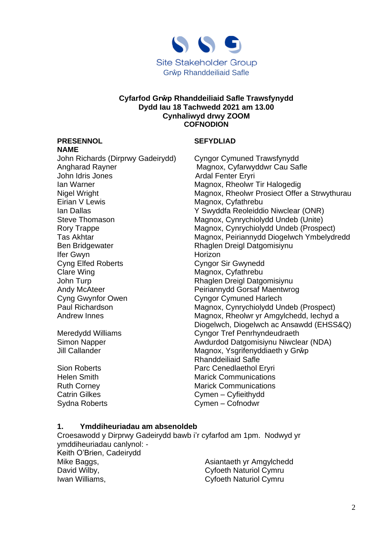

#### **Cyfarfod Grŵp Rhanddeiliaid Safle Trawsfynydd Dydd Iau 18 Tachwedd 2021 am 13.00 Cynhaliwyd drwy ZOOM COFNODION**

#### **PRESENNOL SEFYDLIAD**

**NAME**  John Richards (Dirprwy Gadeirydd) Cyngor Cymuned Trawsfynydd Angharad Rayner **Magnox, Cyfarwyddwr Cau Safle** John Idris Jones **Ardal Fenter Eryri** Ian Warner **Magnox, Rheolwr Tir Halogedig** Eirian V Lewis **Magnox**, Cyfathrebu Ben Bridgewater **Rhaglen Dreigl Datgomisiynu** Ifer Gwyn **Horizon** Cyng Elfed Roberts **Cyngor Sir Gwynedd** Clare Wing **Magnox**, Cyfathrebu John Turp **Rhaglen Dreigl Datgomisiynu** Andy McAteer **Peiriannydd Gorsaf Maentwrog** Cyng Gwynfor Owen Cyngor Cymuned Harlech

Nigel Wright Magnox, Rheolwr Prosiect Offer a Strwythurau Ian Dallas Y Swyddfa Reoleiddio Niwclear (ONR) Steve Thomason Magnox, Cynrychiolydd Undeb (Unite) Rory Trappe **Magnox, Cynrychiolydd Undeb (Prospect)** Tas Akhtar **Magnox, Peiriannydd Diogelwch Ymbelydredd** Paul Richardson Magnox, Cynrychiolydd Undeb (Prospect) Andrew Innes **Magnox, Rheolwr yr Amgylchedd, Iechyd a** Diogelwch, Diogelwch ac Ansawdd (EHSS&Q) Meredydd Williams Cyngor Tref Penrhyndeudraeth Simon Napper **Awdurdod Datgomisiynu Niwclear (NDA)** Jill Callander **Magnox, Ysgrifenyddiaeth y Grŵp** Rhanddeiliaid Safle Sion Roberts **Parc Cenedlaethol Eryri** Helen Smith Marick Communications Ruth Corney **Marick Communications** Catrin Gilkes Cymen – Cyfieithydd Sydna Roberts **Cymen** – Cofnodwr

#### **1. Ymddiheuriadau am absenoldeb**

Croesawodd y Dirprwy Gadeirydd bawb i'r cyfarfod am 1pm. Nodwyd yr ymddiheuriadau canlynol: - Keith O'Brien, Cadeirydd Mike Baggs, The Communist Communist Communist Asiantaeth yr Amgylchedd David Wilby, **David Wilby, Cyfoeth Naturiol Cymru** Iwan Williams, Cyfoeth Naturiol Cymru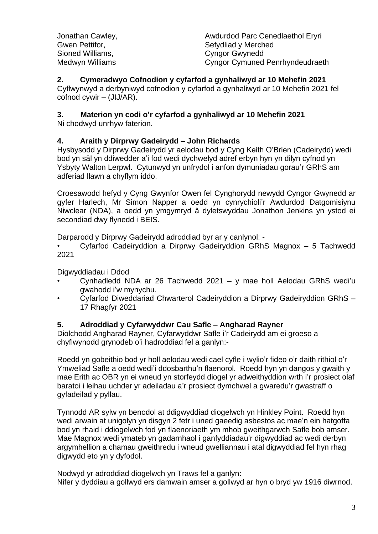| Awdurdod Parc Cenedlaethol Eryri       |
|----------------------------------------|
| Sefydliad y Merched                    |
| <b>Cyngor Gwynedd</b>                  |
| <b>Cyngor Cymuned Penrhyndeudraeth</b> |
|                                        |

## **2. Cymeradwyo Cofnodion y cyfarfod a gynhaliwyd ar 10 Mehefin 2021**

Cyflwynwyd a derbyniwyd cofnodion y cyfarfod a gynhaliwyd ar 10 Mehefin 2021 fel cofnod cywir – (JIJ/AR).

## **3. Materion yn codi o'r cyfarfod a gynhaliwyd ar 10 Mehefin 2021**

Ni chodwyd unrhyw faterion.

## **4. Araith y Dirprwy Gadeirydd – John Richards**

Hysbysodd y Dirprwy Gadeirydd yr aelodau bod y Cyng Keith O'Brien (Cadeirydd) wedi bod yn sâl yn ddiwedder a'i fod wedi dychwelyd adref erbyn hyn yn dilyn cyfnod yn Ysbyty Walton Lerpwl. Cytunwyd yn unfrydol i anfon dymuniadau gorau'r GRhS am adferiad llawn a chyflym iddo.

Croesawodd hefyd y Cyng Gwynfor Owen fel Cynghorydd newydd Cyngor Gwynedd ar gyfer Harlech, Mr Simon Napper a oedd yn cynrychioli'r Awdurdod Datgomisiynu Niwclear (NDA), a oedd yn ymgymryd â dyletswyddau Jonathon Jenkins yn ystod ei secondiad dwy flynedd i BEIS.

Darparodd y Dirprwy Gadeirydd adroddiad byr ar y canlynol: -

• Cyfarfod Cadeiryddion a Dirprwy Gadeiryddion GRhS Magnox – 5 Tachwedd 2021

Digwyddiadau i Ddod

- Cynhadledd NDA ar 26 Tachwedd 2021 y mae holl Aelodau GRhS wedi'u gwahodd i'w mynychu.
- Cyfarfod Diweddariad Chwarterol Cadeiryddion a Dirprwy Gadeiryddion GRhS 17 Rhagfyr 2021

## **5. Adroddiad y Cyfarwyddwr Cau Safle – Angharad Rayner**

Diolchodd Angharad Rayner, Cyfarwyddwr Safle i'r Cadeirydd am ei groeso a chyflwynodd grynodeb o'i hadroddiad fel a ganlyn:-

Roedd yn gobeithio bod yr holl aelodau wedi cael cyfle i wylio'r fideo o'r daith rithiol o'r Ymweliad Safle a oedd wedi'i ddosbarthu'n flaenorol. Roedd hyn yn dangos y gwaith y mae Erith ac OBR yn ei wneud yn storfeydd diogel yr adweithyddion wrth i'r prosiect olaf baratoi i leihau uchder yr adeiladau a'r prosiect dymchwel a gwaredu'r gwastraff o gyfadeilad y pyllau.

Tynnodd AR sylw yn benodol at ddigwyddiad diogelwch yn Hinkley Point. Roedd hyn wedi arwain at unigolyn yn disgyn 2 fetr i uned gaeedig asbestos ac mae'n ein hatgoffa bod yn rhaid i ddiogelwch fod yn flaenoriaeth ym mhob gweithgarwch Safle bob amser. Mae Magnox wedi ymateb yn gadarnhaol i ganfyddiadau'r digwyddiad ac wedi derbyn argymhellion a chamau gweithredu i wneud gwelliannau i atal digwyddiad fel hyn rhag digwydd eto yn y dyfodol.

Nodwyd yr adroddiad diogelwch yn Traws fel a ganlyn:

Nifer y dyddiau a gollwyd ers damwain amser a gollwyd ar hyn o bryd yw 1916 diwrnod.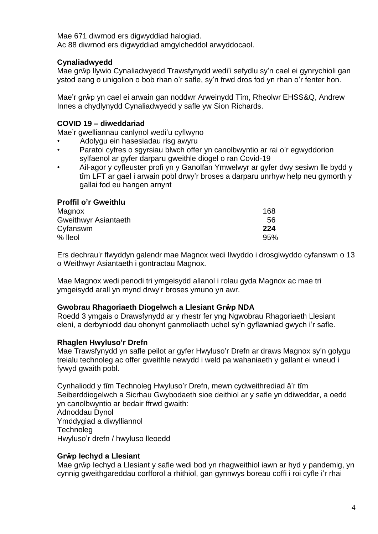Mae 671 diwrnod ers digwyddiad halogiad. Ac 88 diwrnod ers digwyddiad amgylcheddol arwyddocaol.

## **Cynaliadwyedd**

Mae grŵp llywio Cynaliadwyedd Trawsfynydd wedi'i sefydlu sy'n cael ei gynrychioli gan ystod eang o unigolion o bob rhan o'r safle, sy'n frwd dros fod yn rhan o'r fenter hon.

Mae'r grŵp yn cael ei arwain gan noddwr Arweinydd Tîm, Rheolwr EHSS&Q, Andrew Innes a chydlynydd Cynaliadwyedd y safle yw Sion Richards.

## **COVID 19 – diweddariad**

Mae'r gwelliannau canlynol wedi'u cyflwyno

- Adolygu ein hasesiadau risg awyru
- Paratoi cyfres o sgyrsiau blwch offer yn canolbwyntio ar rai o'r egwyddorion sylfaenol ar gyfer darparu gweithle diogel o ran Covid-19
- Ail-agor y cyfleuster profi yn y Ganolfan Ymwelwyr ar gyfer dwy sesiwn lle bydd y tîm LFT ar gael i arwain pobl drwy'r broses a darparu unrhyw help neu gymorth y gallai fod eu hangen arnynt

## **Proffil o'r Gweithlu**

| Magnox               | 168 |
|----------------------|-----|
| Gweithwyr Asiantaeth | 56  |
| Cyfanswm             | 224 |
| $%$ lleol            | 95% |

Ers dechrau'r flwyddyn galendr mae Magnox wedi llwyddo i drosglwyddo cyfanswm o 13 o Weithwyr Asiantaeth i gontractau Magnox.

Mae Magnox wedi penodi tri ymgeisydd allanol i rolau gyda Magnox ac mae tri ymgeisydd arall yn mynd drwy'r broses ymuno yn awr.

#### **Gwobrau Rhagoriaeth Diogelwch a Llesiant Grŵp NDA**

Roedd 3 ymgais o Drawsfynydd ar y rhestr fer yng Ngwobrau Rhagoriaeth Llesiant eleni, a derbyniodd dau ohonynt ganmoliaeth uchel sy'n gyflawniad gwych i'r safle.

## **Rhaglen Hwyluso'r Drefn**

Mae Trawsfynydd yn safle peilot ar gyfer Hwyluso'r Drefn ar draws Magnox sy'n golygu treialu technoleg ac offer gweithle newydd i weld pa wahaniaeth y gallant ei wneud i fywyd gwaith pobl.

Cynhaliodd y tîm Technoleg Hwyluso'r Drefn, mewn cydweithrediad â'r tîm Seiberddiogelwch a Sicrhau Gwybodaeth sioe deithiol ar y safle yn ddiweddar, a oedd yn canolbwyntio ar bedair ffrwd gwaith: Adnoddau Dynol Ymddygiad a diwylliannol **Technoleg** Hwyluso'r drefn / hwyluso lleoedd

#### **Grŵp Iechyd a Llesiant**

Mae grŵp Iechyd a Llesiant y safle wedi bod yn rhagweithiol iawn ar hyd y pandemig, yn cynnig gweithgareddau corfforol a rhithiol, gan gynnwys boreau coffi i roi cyfle i'r rhai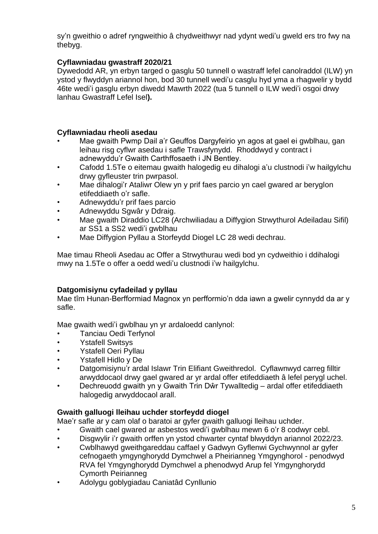sy'n gweithio o adref ryngweithio â chydweithwyr nad ydynt wedi'u gweld ers tro fwy na thebyg.

## **Cyflawniadau gwastraff 2020/21**

Dywedodd AR, yn erbyn targed o gasglu 50 tunnell o wastraff lefel canolraddol (ILW) yn ystod y flwyddyn ariannol hon, bod 30 tunnell wedi'u casglu hyd yma a rhagwelir y bydd 46te wedi'i gasglu erbyn diwedd Mawrth 2022 (tua 5 tunnell o ILW wedi'i osgoi drwy lanhau Gwastraff Lefel Isel**).**

## **Cyflawniadau rheoli asedau**

- Mae gwaith Pwmp Dail a'r Geuffos Dargyfeirio yn agos at gael ei gwblhau, gan leihau risg cyflwr asedau i safle Trawsfynydd. Rhoddwyd y contract i adnewyddu'r Gwaith Carthffosaeth i JN Bentley.
- Cafodd 1.5Te o eitemau gwaith halogedig eu dihalogi a'u clustnodi i'w hailgylchu drwy gyfleuster trin pwrpasol.
- Mae dihalogi'r Ataliwr Olew yn y prif faes parcio yn cael gwared ar beryglon etifeddiaeth o'r safle.
- Adnewyddu'r prif faes parcio
- Adnewyddu Sgwâr y Ddraig.
- Mae gwaith Diraddio LC28 (Archwiliadau a Diffygion Strwythurol Adeiladau Sifil) ar SS1 a SS2 wedi'i gwblhau
- Mae Diffygion Pyllau a Storfeydd Diogel LC 28 wedi dechrau.

Mae timau Rheoli Asedau ac Offer a Strwythurau wedi bod yn cydweithio i ddihalogi mwy na 1.5Te o offer a oedd wedi'u clustnodi i'w hailgylchu.

## **Datgomisiynu cyfadeilad y pyllau**

Mae tîm Hunan-Berfformiad Magnox yn perfformio'n dda iawn a gwelir cynnydd da ar y safle.

Mae gwaith wedi'i gwblhau yn yr ardaloedd canlynol:

- Tanciau Oedi Terfynol
- Ystafell Switsys
- Ystafell Oeri Pyllau
- Ystafell Hidlo y De
- Datgomisiynu'r ardal Islawr Trin Elifiant Gweithredol. Cyflawnwyd carreg filltir arwyddocaol drwy gael gwared ar yr ardal offer etifeddiaeth â lefel perygl uchel.
- Dechreuodd gwaith yn y Gwaith Trin Dŵr Tywalltedig ardal offer etifeddiaeth halogedig arwyddocaol arall.

## **Gwaith galluogi lleihau uchder storfeydd diogel**

Mae'r safle ar y cam olaf o baratoi ar gyfer gwaith galluogi lleihau uchder.

- Gwaith cael gwared ar asbestos wedi'i gwblhau mewn 6 o'r 8 codwyr cebl.
- Disgwylir i'r gwaith orffen yn ystod chwarter cyntaf blwyddyn ariannol 2022/23.
- Cwblhawyd gweithgareddau caffael y Gadwyn Gyflenwi Gychwynnol ar gyfer cefnogaeth ymgynghorydd Dymchwel a Pheirianneg Ymgynghorol - penodwyd RVA fel Ymgynghorydd Dymchwel a phenodwyd Arup fel Ymgynghorydd Cymorth Peirianneg
- Adolygu goblygiadau Caniatâd Cynllunio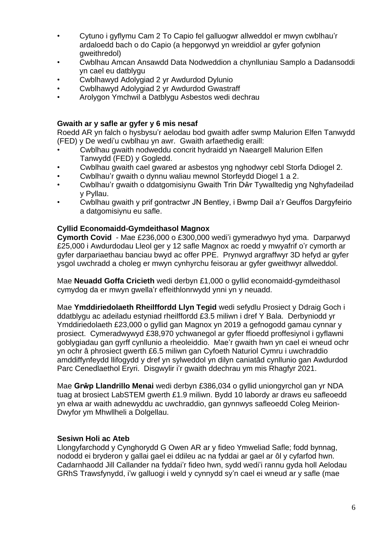- Cytuno i gyflymu Cam 2 To Capio fel galluogwr allweddol er mwyn cwblhau'r ardaloedd bach o do Capio (a hepgorwyd yn wreiddiol ar gyfer gofynion gweithredol)
- Cwblhau Amcan Ansawdd Data Nodweddion a chynlluniau Samplo a Dadansoddi yn cael eu datblygu
- Cwblhawyd Adolygiad 2 yr Awdurdod Dylunio
- Cwblhawyd Adolygiad 2 yr Awdurdod Gwastraff
- Arolygon Ymchwil a Datblygu Asbestos wedi dechrau

### **Gwaith ar y safle ar gyfer y 6 mis nesaf**

Roedd AR yn falch o hysbysu'r aelodau bod gwaith adfer swmp Malurion Elfen Tanwydd (FED) y De wedi'u cwblhau yn awr. Gwaith arfaethedig eraill:

- Cwblhau gwaith nodweddu concrit hydraidd yn Naeargell Malurion Elfen Tanwydd (FED) y Gogledd.
- Cwblhau gwaith cael gwared ar asbestos yng nghodwyr cebl Storfa Ddiogel 2.
- Cwblhau'r gwaith o dynnu waliau mewnol Storfeydd Diogel 1 a 2.
- Cwblhau'r gwaith o ddatgomisiynu Gwaith Trin Dŵr Tywalltedig yng Nghyfadeilad y Pyllau.
- Cwblhau gwaith y prif gontractwr JN Bentley, i Bwmp Dail a'r Geuffos Dargyfeirio a datgomisiynu eu safle.

### **Cyllid Economaidd-Gymdeithasol Magnox**

**Cymorth Covid** - Mae £236,000 o £300,000 wedi'i gymeradwyo hyd yma. Darparwyd £25,000 i Awdurdodau Lleol ger y 12 safle Magnox ac roedd y mwyafrif o'r cymorth ar gyfer darpariaethau banciau bwyd ac offer PPE. Prynwyd argraffwyr 3D hefyd ar gyfer ysgol uwchradd a choleg er mwyn cynhyrchu feisorau ar gyfer gweithwyr allweddol.

Mae **Neuadd Goffa Cricieth** wedi derbyn £1,000 o gyllid economaidd-gymdeithasol cymydog da er mwyn gwella'r effeithlonrwydd ynni yn y neuadd.

Mae **Ymddiriedolaeth Rheilffordd Llyn Tegid** wedi sefydlu Prosiect y Ddraig Goch i ddatblygu ac adeiladu estyniad rheilffordd £3.5 miliwn i dref Y Bala. Derbyniodd yr Ymddiriedolaeth £23,000 o gyllid gan Magnox yn 2019 a gefnogodd gamau cynnar y prosiect. Cymeradwywyd £38,970 ychwanegol ar gyfer ffioedd proffesiynol i gyflawni goblygiadau gan gyrff cynllunio a rheoleiddio. Mae'r gwaith hwn yn cael ei wneud ochr yn ochr â phrosiect gwerth £6.5 miliwn gan Cyfoeth Naturiol Cymru i uwchraddio amddiffynfeydd llifogydd y dref yn sylweddol yn dilyn caniatâd cynllunio gan Awdurdod Parc Cenedlaethol Eryri. Disgwylir i'r gwaith ddechrau ym mis Rhagfyr 2021.

Mae **Grŵp Llandrillo Menai** wedi derbyn £386,034 o gyllid uniongyrchol gan yr NDA tuag at brosiect LabSTEM gwerth £1.9 miliwn. Bydd 10 labordy ar draws eu safleoedd yn elwa ar waith adnewyddu ac uwchraddio, gan gynnwys safleoedd Coleg Meirion-Dwyfor ym Mhwllheli a Dolgellau.

#### **Sesiwn Holi ac Ateb**

Llongyfarchodd y Cynghorydd G Owen AR ar y fideo Ymweliad Safle; fodd bynnag, nododd ei bryderon y gallai gael ei ddileu ac na fyddai ar gael ar ôl y cyfarfod hwn. Cadarnhaodd Jill Callander na fyddai'r fideo hwn, sydd wedi'i rannu gyda holl Aelodau GRhS Trawsfynydd, i'w galluogi i weld y cynnydd sy'n cael ei wneud ar y safle (mae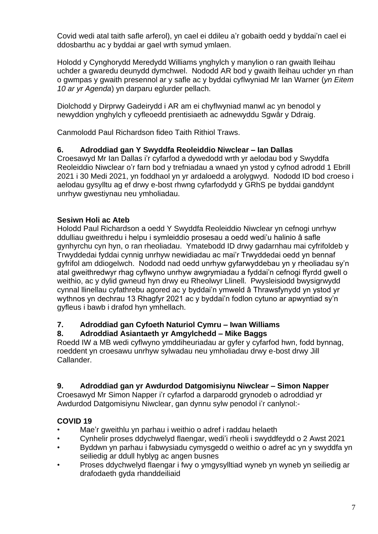Covid wedi atal taith safle arferol), yn cael ei ddileu a'r gobaith oedd y byddai'n cael ei ddosbarthu ac y byddai ar gael wrth symud ymlaen.

Holodd y Cynghorydd Meredydd Williams ynghylch y manylion o ran gwaith lleihau uchder a gwaredu deunydd dymchwel. Nododd AR bod y gwaith lleihau uchder yn rhan o gwmpas y gwaith presennol ar y safle ac y byddai cyflwyniad Mr Ian Warner (*yn Eitem 10 ar yr Agenda*) yn darparu eglurder pellach.

Diolchodd y Dirprwy Gadeirydd i AR am ei chyflwyniad manwl ac yn benodol y newyddion ynghylch y cyfleoedd prentisiaeth ac adnewyddu Sgwâr y Ddraig.

Canmolodd Paul Richardson fideo Taith Rithiol Traws.

## **6. Adroddiad gan Y Swyddfa Reoleiddio Niwclear – Ian Dallas**

Croesawyd Mr Ian Dallas i'r cyfarfod a dywedodd wrth yr aelodau bod y Swyddfa Reoleiddio Niwclear o'r farn bod y trefniadau a wnaed yn ystod y cyfnod adrodd 1 Ebrill 2021 i 30 Medi 2021, yn foddhaol yn yr ardaloedd a arolygwyd. Nododd ID bod croeso i aelodau gysylltu ag ef drwy e-bost rhwng cyfarfodydd y GRhS pe byddai ganddynt unrhyw gwestiynau neu ymholiadau.

## **Sesiwn Holi ac Ateb**

Holodd Paul Richardson a oedd Y Swyddfa Reoleiddio Niwclear yn cefnogi unrhyw ddulliau gweithredu i helpu i symleiddio prosesau a oedd wedi'u halinio â safle gynhyrchu cyn hyn, o ran rheoliadau. Ymatebodd ID drwy gadarnhau mai cyfrifoldeb y Trwyddedai fyddai cynnig unrhyw newidiadau ac mai'r Trwyddedai oedd yn bennaf gyfrifol am ddiogelwch. Nododd nad oedd unrhyw gyfarwyddebau yn y rheoliadau sy'n atal gweithredwyr rhag cyflwyno unrhyw awgrymiadau a fyddai'n cefnogi ffyrdd gwell o weithio, ac y dylid gwneud hyn drwy eu Rheolwyr Llinell. Pwysleisiodd bwysigrwydd cynnal llinellau cyfathrebu agored ac y byddai'n ymweld â Thrawsfynydd yn ystod yr wythnos yn dechrau 13 Rhagfyr 2021 ac y byddai'n fodlon cytuno ar apwyntiad sy'n gyfleus i bawb i drafod hyn ymhellach.

## **7. Adroddiad gan Cyfoeth Naturiol Cymru – Iwan Williams**

## **8. Adroddiad Asiantaeth yr Amgylchedd – Mike Baggs**

Roedd IW a MB wedi cyflwyno ymddiheuriadau ar gyfer y cyfarfod hwn, fodd bynnag, roeddent yn croesawu unrhyw sylwadau neu ymholiadau drwy e-bost drwy Jill Callander.

## **9. Adroddiad gan yr Awdurdod Datgomisiynu Niwclear – Simon Napper**

Croesawyd Mr Simon Napper i'r cyfarfod a darparodd grynodeb o adroddiad yr Awdurdod Datgomisiynu Niwclear, gan dynnu sylw penodol i'r canlynol:-

## **COVID 19**

- Mae'r gweithlu yn parhau i weithio o adref i raddau helaeth
- Cynhelir proses ddychwelyd flaengar, wedi'i rheoli i swyddfeydd o 2 Awst 2021
- Byddwn yn parhau i fabwysiadu cymysgedd o weithio o adref ac yn y swyddfa yn seiliedig ar ddull hyblyg ac angen busnes
- Proses ddychwelyd flaengar i fwy o ymgysylltiad wyneb yn wyneb yn seiliedig ar drafodaeth gyda rhanddeiliaid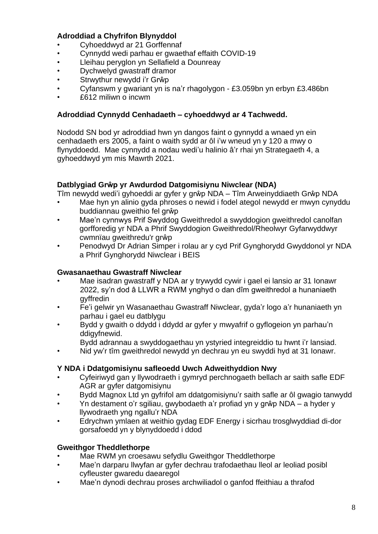## **Adroddiad a Chyfrifon Blynyddol**

- Cyhoeddwyd ar 21 Gorffennaf
- Cynnydd wedi parhau er gwaethaf effaith COVID-19
- Lleihau peryglon yn Sellafield a Dounreay
- Dychwelyd gwastraff dramor
- Strwythur newydd i'r Grŵp
- Cyfanswm y gwariant yn is na'r rhagolygon £3.059bn yn erbyn £3.486bn
- £612 miliwn o incwm

#### **Adroddiad Cynnydd Cenhadaeth – cyhoeddwyd ar 4 Tachwedd.**

Nododd SN bod yr adroddiad hwn yn dangos faint o gynnydd a wnaed yn ein cenhadaeth ers 2005, a faint o waith sydd ar ôl i'w wneud yn y 120 a mwy o flynyddoedd. Mae cynnydd a nodau wedi'u halinio â'r rhai yn Strategaeth 4, a gyhoeddwyd ym mis Mawrth 2021.

### **Datblygiad Grŵp yr Awdurdod Datgomisiynu Niwclear (NDA)**

Tîm newydd wedi'i gyhoeddi ar gyfer y grŵp NDA – Tîm Arweinyddiaeth Grŵp NDA

- Mae hyn yn alinio gyda phroses o newid i fodel ategol newydd er mwyn cynyddu buddiannau gweithio fel grŵp
- Mae'n cynnwys Prif Swyddog Gweithredol a swyddogion gweithredol canolfan gorfforedig yr NDA a Phrif Swyddogion Gweithredol/Rheolwyr Gyfarwyddwyr cwmnïau gweithredu'r grŵp
- Penodwyd Dr Adrian Simper i rolau ar y cyd Prif Gynghorydd Gwyddonol yr NDA a Phrif Gynghorydd Niwclear i BEIS

#### **Gwasanaethau Gwastraff Niwclear**

- Mae isadran gwastraff y NDA ar y trywydd cywir i gael ei lansio ar 31 Ionawr 2022, sy'n dod â LLWR a RWM ynghyd o dan dîm gweithredol a hunaniaeth gyffredin
- Fe'i gelwir yn Wasanaethau Gwastraff Niwclear, gyda'r logo a'r hunaniaeth yn parhau i gael eu datblygu
- Bydd y gwaith o ddydd i ddydd ar gyfer y mwyafrif o gyflogeion yn parhau'n ddigyfnewid.
	- Bydd adrannau a swyddogaethau yn ystyried integreiddio tu hwnt i'r lansiad.
- Nid yw'r tîm gweithredol newydd yn dechrau yn eu swyddi hyd at 31 Ionawr.

#### **Y NDA i Ddatgomisiynu safleoedd Uwch Adweithyddion Nwy**

- Cyfeiriwyd gan y llywodraeth i gymryd perchnogaeth bellach ar saith safle EDF AGR ar gyfer datgomisiynu
- Bydd Magnox Ltd yn gyfrifol am ddatgomisiynu'r saith safle ar ôl gwagio tanwydd
- Yn destament o'r sgiliau, gwybodaeth a'r profiad yn y grŵp NDA a hyder y llywodraeth yng ngallu'r NDA
- Edrychwn ymlaen at weithio gydag EDF Energy i sicrhau trosglwyddiad di-dor gorsafoedd yn y blynyddoedd i ddod

## **Gweithgor Theddlethorpe**

- Mae RWM yn croesawu sefydlu Gweithgor Theddlethorpe
- Mae'n darparu llwyfan ar gyfer dechrau trafodaethau lleol ar leoliad posibl cyfleuster gwaredu daearegol
- Mae'n dynodi dechrau proses archwiliadol o ganfod ffeithiau a thrafod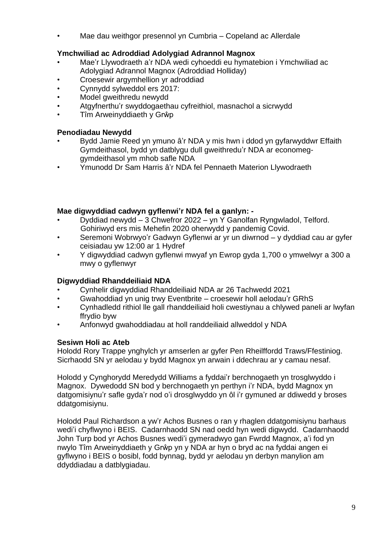• Mae dau weithgor presennol yn Cumbria – Copeland ac Allerdale

## **Ymchwiliad ac Adroddiad Adolygiad Adrannol Magnox**

- Mae'r Llywodraeth a'r NDA wedi cyhoeddi eu hymatebion i Ymchwiliad ac Adolygiad Adrannol Magnox (Adroddiad Holliday)
- Croesewir argymhellion yr adroddiad
- Cynnydd sylweddol ers 2017:
- Model gweithredu newydd
- Atgyfnerthu'r swyddogaethau cyfreithiol, masnachol a sicrwydd
- Tîm Arweinyddiaeth y Grŵp

## **Penodiadau Newydd**

- Bydd Jamie Reed yn ymuno â'r NDA y mis hwn i ddod yn gyfarwyddwr Effaith Gymdeithasol, bydd yn datblygu dull gweithredu'r NDA ar economeggymdeithasol ym mhob safle NDA
- Ymunodd Dr Sam Harris â'r NDA fel Pennaeth Materion Llywodraeth

## **Mae digwyddiad cadwyn gyflenwi'r NDA fel a ganlyn: -**

- Dyddiad newydd 3 Chwefror 2022 yn Y Ganolfan Ryngwladol, Telford. Gohiriwyd ers mis Mehefin 2020 oherwydd y pandemig Covid.
- Seremoni Wobrwyo'r Gadwyn Gyflenwi ar yr un diwrnod y dyddiad cau ar gyfer ceisiadau yw 12:00 ar 1 Hydref
- Y digwyddiad cadwyn gyflenwi mwyaf yn Ewrop gyda 1,700 o ymwelwyr a 300 a mwy o gyflenwyr

## **Digwyddiad Rhanddeiliaid NDA**

- Cynhelir digwyddiad Rhanddeiliaid NDA ar 26 Tachwedd 2021
- Gwahoddiad yn unig trwy Eventbrite croesewir holl aelodau'r GRhS
- Cynhadledd rithiol lle gall rhanddeiliaid holi cwestiynau a chlywed paneli ar lwyfan ffrydio byw
- Anfonwyd gwahoddiadau at holl randdeiliaid allweddol y NDA

## **Sesiwn Holi ac Ateb**

Holodd Rory Trappe ynghylch yr amserlen ar gyfer Pen Rheilffordd Traws/Ffestiniog. Sicrhaodd SN yr aelodau y bydd Magnox yn arwain i ddechrau ar y camau nesaf.

Holodd y Cynghorydd Meredydd Williams a fyddai'r berchnogaeth yn trosglwyddo i Magnox. Dywedodd SN bod y berchnogaeth yn perthyn i'r NDA, bydd Magnox yn datgomisiynu'r safle gyda'r nod o'i drosglwyddo yn ôl i'r gymuned ar ddiwedd y broses ddatgomisiynu.

Holodd Paul Richardson a yw'r Achos Busnes o ran y rhaglen ddatgomisiynu barhaus wedi'i chyflwyno i BEIS. Cadarnhaodd SN nad oedd hyn wedi digwydd. Cadarnhaodd John Turp bod yr Achos Busnes wedi'i gymeradwyo gan Fwrdd Magnox, a'i fod yn nwylo Tîm Arweinyddiaeth y Grŵp yn y NDA ar hyn o bryd ac na fyddai angen ei gyflwyno i BEIS o bosibl, fodd bynnag, bydd yr aelodau yn derbyn manylion am ddyddiadau a datblygiadau.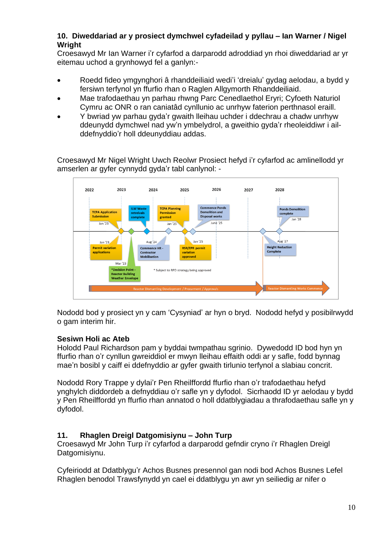## **10. Diweddariad ar y prosiect dymchwel cyfadeilad y pyllau – Ian Warner / Nigel Wright**

Croesawyd Mr Ian Warner i'r cyfarfod a darparodd adroddiad yn rhoi diweddariad ar yr eitemau uchod a grynhowyd fel a ganlyn:-

- Roedd fideo ymgynghori â rhanddeiliaid wedi'i 'dreialu' gydag aelodau, a bydd y fersiwn terfynol yn ffurfio rhan o Raglen Allgymorth Rhanddeiliaid.
- Mae trafodaethau yn parhau rhwng Parc Cenedlaethol Eryri; Cyfoeth Naturiol Cymru ac ONR o ran caniatâd cynllunio ac unrhyw faterion perthnasol eraill.
- Y bwriad yw parhau gyda'r gwaith lleihau uchder i ddechrau a chadw unrhyw ddeunydd dymchwel nad yw'n ymbelydrol, a gweithio gyda'r rheoleiddiwr i ailddefnyddio'r holl ddeunyddiau addas.

Croesawyd Mr Nigel Wright Uwch Reolwr Prosiect hefyd i'r cyfarfod ac amlinellodd yr amserlen ar gyfer cynnydd gyda'r tabl canlynol: -



Nododd bod y prosiect yn y cam 'Cysyniad' ar hyn o bryd. Nododd hefyd y posibilrwydd o gam interim hir.

## **Sesiwn Holi ac Ateb**

Holodd Paul Richardson pam y byddai twmpathau sgrinio. Dywedodd ID bod hyn yn ffurfio rhan o'r cynllun gwreiddiol er mwyn lleihau effaith oddi ar y safle, fodd bynnag mae'n bosibl y caiff ei ddefnyddio ar gyfer gwaith tirlunio terfynol a slabiau concrit.

Nododd Rory Trappe y dylai'r Pen Rheilffordd ffurfio rhan o'r trafodaethau hefyd ynghylch diddordeb a defnyddiau o'r safle yn y dyfodol. Sicrhaodd ID yr aelodau y bydd y Pen Rheilffordd yn ffurfio rhan annatod o holl ddatblygiadau a thrafodaethau safle yn y dyfodol.

## **11. Rhaglen Dreigl Datgomisiynu – John Turp**

Croesawyd Mr John Turp i'r cyfarfod a darparodd gefndir cryno i'r Rhaglen Dreigl Datgomisiynu.

Cyfeiriodd at Ddatblygu'r Achos Busnes presennol gan nodi bod Achos Busnes Lefel Rhaglen benodol Trawsfynydd yn cael ei ddatblygu yn awr yn seiliedig ar nifer o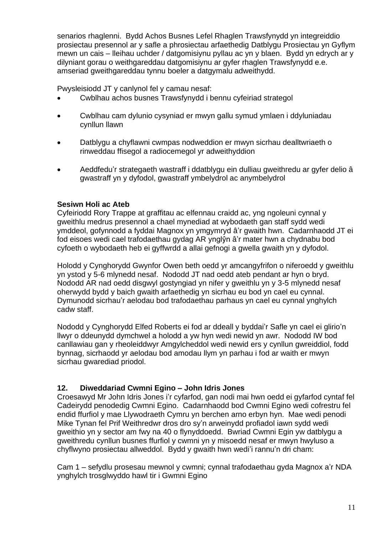senarios rhaglenni. Bydd Achos Busnes Lefel Rhaglen Trawsfynydd yn integreiddio prosiectau presennol ar y safle a phrosiectau arfaethedig Datblygu Prosiectau yn Gyflym mewn un cais – lleihau uchder / datgomisiynu pyllau ac yn y blaen. Bydd yn edrych ar y dilyniant gorau o weithgareddau datgomisiynu ar gyfer rhaglen Trawsfynydd e.e. amseriad gweithgareddau tynnu boeler a datgymalu adweithydd.

Pwysleisiodd JT y canlynol fel y camau nesaf:

- Cwblhau achos busnes Trawsfynydd i bennu cyfeiriad strategol
- Cwblhau cam dylunio cysyniad er mwyn gallu symud ymlaen i ddyluniadau cynllun llawn
- Datblygu a chyflawni cwmpas nodweddion er mwyn sicrhau dealltwriaeth o rinweddau ffisegol a radiocemegol yr adweithyddion
- Aeddfedu'r strategaeth wastraff i ddatblygu ein dulliau gweithredu ar gyfer delio â gwastraff yn y dyfodol, gwastraff ymbelydrol ac anymbelydrol

## **Sesiwn Holi ac Ateb**

Cyfeiriodd Rory Trappe at graffitau ac elfennau craidd ac, yng ngoleuni cynnal y gweithlu medrus presennol a chael mynediad at wybodaeth gan staff sydd wedi ymddeol, gofynnodd a fyddai Magnox yn ymgymryd â'r gwaith hwn. Cadarnhaodd JT ei fod eisoes wedi cael trafodaethau gydag AR ynglŷn â'r mater hwn a chydnabu bod cyfoeth o wybodaeth heb ei gyffwrdd a allai gefnogi a gwella gwaith yn y dyfodol.

Holodd y Cynghorydd Gwynfor Owen beth oedd yr amcangyfrifon o niferoedd y gweithlu yn ystod y 5-6 mlynedd nesaf. Nododd JT nad oedd ateb pendant ar hyn o bryd. Nododd AR nad oedd disgwyl gostyngiad yn nifer y gweithlu yn y 3-5 mlynedd nesaf oherwydd bydd y baich gwaith arfaethedig yn sicrhau eu bod yn cael eu cynnal. Dymunodd sicrhau'r aelodau bod trafodaethau parhaus yn cael eu cynnal ynghylch cadw staff.

Nododd y Cynghorydd Elfed Roberts ei fod ar ddeall y byddai'r Safle yn cael ei glirio'n llwyr o ddeunydd dymchwel a holodd a yw hyn wedi newid yn awr. Nododd IW bod canllawiau gan y rheoleiddwyr Amgylcheddol wedi newid ers y cynllun gwreiddiol, fodd bynnag, sicrhaodd yr aelodau bod amodau llym yn parhau i fod ar waith er mwyn sicrhau gwarediad priodol.

#### **12. Diweddariad Cwmni Egino – John Idris Jones**

Croesawyd Mr John Idris Jones i'r cyfarfod, gan nodi mai hwn oedd ei gyfarfod cyntaf fel Cadeirydd penodedig Cwmni Egino. Cadarnhaodd bod Cwmni Egino wedi cofrestru fel endid ffurfiol y mae Llywodraeth Cymru yn berchen arno erbyn hyn. Mae wedi penodi Mike Tynan fel Prif Weithredwr dros dro sy'n arweinydd profiadol iawn sydd wedi gweithio yn y sector am fwy na 40 o flynyddoedd. Bwriad Cwmni Egin yw datblygu a gweithredu cynllun busnes ffurfiol y cwmni yn y misoedd nesaf er mwyn hwyluso a chyflwyno prosiectau allweddol. Bydd y gwaith hwn wedi'i rannu'n dri cham:

Cam 1 – sefydlu prosesau mewnol y cwmni; cynnal trafodaethau gyda Magnox a'r NDA ynghylch trosglwyddo hawl tir i Gwmni Egino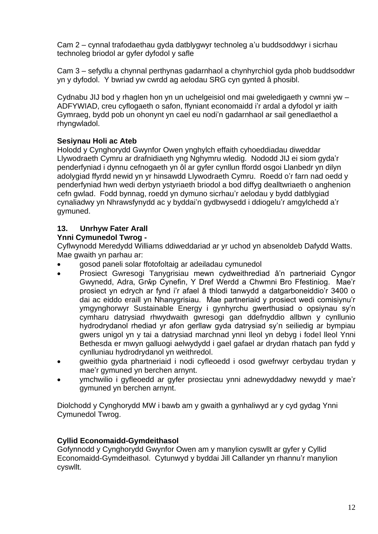Cam 2 – cynnal trafodaethau gyda datblygwyr technoleg a'u buddsoddwyr i sicrhau technoleg briodol ar gyfer dyfodol y safle

Cam 3 – sefydlu a chynnal perthynas gadarnhaol a chynhyrchiol gyda phob buddsoddwr yn y dyfodol. Y bwriad yw cwrdd ag aelodau SRG cyn gynted â phosibl.

Cydnabu JIJ bod y rhaglen hon yn un uchelgeisiol ond mai gweledigaeth y cwmni yw – ADFYWIAD, creu cyflogaeth o safon, ffyniant economaidd i'r ardal a dyfodol yr iaith Gymraeg, bydd pob un ohonynt yn cael eu nodi'n gadarnhaol ar sail genedlaethol a rhyngwladol.

## **Sesiynau Holi ac Ateb**

Holodd y Cynghorydd Gwynfor Owen ynghylch effaith cyhoeddiadau diweddar Llywodraeth Cymru ar drafnidiaeth yng Nghymru wledig. Nododd JIJ ei siom gyda'r penderfyniad i dynnu cefnogaeth yn ôl ar gyfer cynllun ffordd osgoi Llanbedr yn dilyn adolygiad ffyrdd newid yn yr hinsawdd Llywodraeth Cymru. Roedd o'r farn nad oedd y penderfyniad hwn wedi derbyn ystyriaeth briodol a bod diffyg dealltwriaeth o anghenion cefn gwlad. Fodd bynnag, roedd yn dymuno sicrhau'r aelodau y bydd datblygiad cynaliadwy yn Nhrawsfynydd ac y byddai'n gydbwysedd i ddiogelu'r amgylchedd a'r gymuned.

## **13. Unrhyw Fater Arall**

## **Ynni Cymunedol Twrog -**

Cyflwynodd Meredydd Williams ddiweddariad ar yr uchod yn absenoldeb Dafydd Watts. Mae gwaith yn parhau ar:

- gosod paneli solar ffotofoltaig ar adeiladau cymunedol
- Prosiect Gwresogi Tanygrisiau mewn cydweithrediad â'n partneriaid Cyngor Gwynedd, Adra, Grŵp Cynefin, Y Dref Werdd a Chwmni Bro Ffestiniog. Mae'r prosiect yn edrych ar fynd i'r afael â thlodi tanwydd a datgarboneiddio'r 3400 o dai ac eiddo eraill yn Nhanygrisiau. Mae partneriaid y prosiect wedi comisiynu'r ymgynghorwyr Sustainable Energy i gynhyrchu gwerthusiad o opsiynau sy'n cymharu datrysiad rhwydwaith gwresogi gan ddefnyddio allbwn y cynllunio hydrodrydanol rhediad yr afon gerllaw gyda datrysiad sy'n seiliedig ar bympiau gwers unigol yn y tai a datrysiad marchnad ynni lleol yn debyg i fodel lleol Ynni Bethesda er mwyn galluogi aelwydydd i gael gafael ar drydan rhatach pan fydd y cynlluniau hydrodrydanol yn weithredol.
- gweithio gyda phartneriaid i nodi cyfleoedd i osod gwefrwyr cerbydau trydan y mae'r gymuned yn berchen arnynt.
- ymchwilio i gyfleoedd ar gyfer prosiectau ynni adnewyddadwy newydd y mae'r gymuned yn berchen arnynt.

Diolchodd y Cynghorydd MW i bawb am y gwaith a gynhaliwyd ar y cyd gydag Ynni Cymunedol Twrog.

## **Cyllid Economaidd-Gymdeithasol**

Gofynnodd y Cynghorydd Gwynfor Owen am y manylion cyswllt ar gyfer y Cyllid Economaidd-Gymdeithasol. Cytunwyd y byddai Jill Callander yn rhannu'r manylion cyswllt.